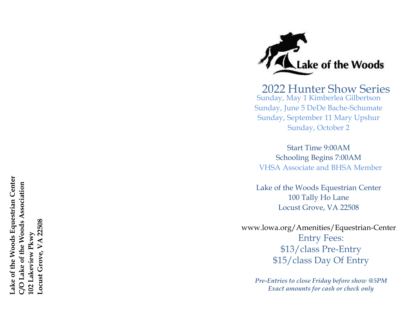ake of the Woods Equestrian Center **Lake of the Woods Equestrian Center C/O Lake of the Woods Association**  70 Lake of the Woods Association Locust Grove, VA 22508 **Locust Grove, VA 22508** 102 Lakeview Pkwy **102 Lakeview Pkwy**



Sunday, May 1 Kimberlea Gilbertson Sunday, June 5 DeDe Bache-Schumate Sunday, September 11 Mary Upshur Sunday, October 2 2022 Hunter Show Series

Start Time 9:00AM Schooling Begins 7:00AM VHSA Associate and BHSA Member

Lake of the Woods Equestrian Center 100 Tally Ho Lane Locust Grove, VA 22508

www.lowa.org/Amenities/Equestrian-Center Entry Fees: \$13/class Pre-Entry \$15/class Day Of Entry

> *Pre-Entries to close Friday before show @5PM Exact amounts for cash or check only*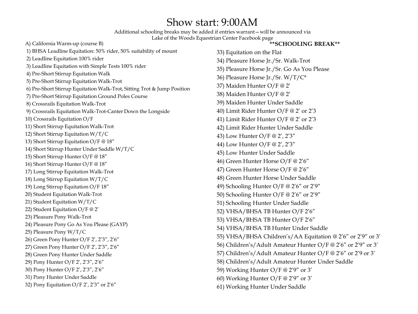### Show start: 9:00AM

Additional schooling breaks may be added if entries warrant—will be announced via Lake of the Woods Equestrian Center Facebook page

A) California Warm-up (course B) 1) BHSA Leadline Equitation: 50% rider, 50% suitability of mount 2) Leadline Equitation 100% rider 3) Leadline Equitation with Simple Tests 100% rider 4) Pre-Short Stirrup Equitation Walk 5) Pre-Short Stirrup Equitation Walk-Trot 6) Pre-Short Stirrup Equitation Walk-Trot, Sitting Trot & Jump Position 7) Pre-Short Stirrup Equitation Ground Poles Course 8) Crossrails Equitation Walk-Trot 9) Crossrails Equitation Walk-Trot-Canter Down the Longside 10) Crossrails Equitation O/F 11) Short Stirrup Equitation Walk-Trot 12) Short Stirrup Equitation W/T/C 13) Short Stirrup Equitation O/F @ 18" 14) Short Stirrup Hunter Under Saddle W/T/C 15) Short Stirrup Hunter O/F @ 18" 16) Short Stirrup Hunter O/F @ 18" 17) Long Stirrup Equitation Walk-Trot 18) Long Stirrup Equitation W/T/C 19) Long Stirrup Equitation O/F 18" 20) Student Equitation Walk-Trot 21) Student Equitation W/T/C 22) Student Equitation O/F @ 2' 23) Pleasure Pony Walk-Trot 24) Pleasure Pony Go As You Please (GAYP) 25) Pleasure Pony W/T/C 26) Green Pony Hunter O/F 2', 2'3", 2'6" 27) Green Pony Hunter O/F 2', 2'3", 2'6" 28) Green Pony Hunter Under Saddle 29) Pony Hunter O/F 2', 2'3", 2'6" 30) Pony Hunter O/F 2', 2'3", 2'6" 31) Pony Hunter Under Saddle 32) Pony Equitation O/F 2', 2'3" or 2'6"

- 33) Equitation on the Flat
- 34) Pleasure Horse Jr./Sr. Walk-Trot
- 35) Pleasure Horse Jr./Sr. Go As You Please

**\*\*SCHOOLING BREAK\*\***

- 36) Pleasure Horse Jr./Sr. W/T/C\*
- 37) Maiden Hunter O/F @ 2'
- 38) Maiden Hunter O/F @ 2'
- 39) Maiden Hunter Under Saddle
- 40) Limit Rider Hunter O/F @ 2' or 2'3
- 41) Limit Rider Hunter O/F @ 2' or 2'3
- 42) Limit Rider Hunter Under Saddle
- 43) Low Hunter O/F @ 2', 2'3"
- 44) Low Hunter O/F @ 2', 2'3"
- 45) Low Hunter Under Saddle
- 46) Green Hunter Horse O/F @ 2'6"
- 47) Green Hunter Horse O/F @ 2'6"
- 48) Green Hunter Horse Under Saddle
- 49) Schooling Hunter O/F @ 2'6" or 2'9"
- 50) Schooling Hunter O/F @ 2'6" or 2'9"
- 51) Schooling Hunter Under Saddle
- 52) VHSA/BHSA TB Hunter O/F 2'6"
- 53) VHSA/BHSA TB Hunter O/F 2'6"
- 54) VHSA/BHSA TB Hunter Under Saddle
- 55) VHSA/BHSA Children's/AA Equitation @ 2'6" or 2'9" or 3'
- 56) Children's/Adult Amateur Hunter O/F @ 2'6" or 2'9" or 3'
- 57) Children's/Adult Amateur Hunter O/F @ 2'6" or 2'9 or 3'
- 58) Children's/Adult Amateur Hunter Under Saddle
- 59) Working Hunter O/F @ 2'9" or 3'
- 60) Working Hunter O/F @ 2'9" or 3'
- 61) Working Hunter Under Saddle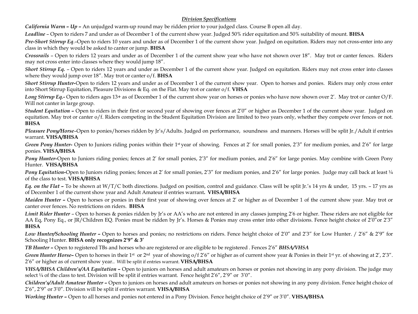#### *Division Specifications*

*California Warm – Up* **–** An unjudged warm-up round may be ridden prior to your judged class. Course B open all day.

*Leadline* – Open to riders 7 and under as of December 1 of the current show year. Judged 50% rider equitation and 50% suitability of mount. **BHSA**

*Pre-Short Stirrup Eq*.–Open to riders 10 years and under as of December 1 of the current show year. Judged on equitation. Riders may not cross-enter into any class in which they would be asked to canter or jump. **BHSA**

*Crossrails* – Open to riders 12 years and under as of December 1 of the current show year who have not shown over 18". May trot or canter fences. Riders may not cross enter into classes where they would jump 18".

*Short Stirrup Eq.* – Open to riders 12 years and under as December 1 of the current show year. Judged on equitation. Riders may not cross enter into classes where they would jump over 18". May trot or canter o/f. **BHSA**

*Short Stirrup Hunter-*Open to riders 12 years and under as of December 1 of the current show year. Open to horses and ponies. Riders may only cross enter into Short Stirrup Equitation, Pleasure Divisions & Eq. on the Flat. May trot or canter o/f. **VHSA**

*Long Stirrup Eq.***-** Open to riders ages 13+ as of December 1 of the current show year on horses or ponies who have now shown over 2'. May trot or canter O/F. Will not canter in large group.

**Student Equitation –** Open to riders in their first or second year of showing over fences at 2'0" or higher as December 1 of the current show year. Judged on equitation. May trot or canter o/f. Riders competing in the Student Equitation Division are limited to two years only, whether they compete over fences or not. **BHSA**

*Pleasure Pony/Horse*–Open to ponies/horses ridden by Jr's/Adults. Judged on performance, soundness and manners. Horses will be split Jr./Adult if entries warrant. **VHSA/BHSA**

*Green Pony Hunter*- Open to Juniors riding ponies within their 1<sup>st</sup> year of showing. Fences at 2' for small ponies, 2'3" for medium ponies, and 2'6" for large ponies. **VHSA/BHSA**

*Pony Hunter-Open to Juniors riding ponies; fences at 2' for small ponies, 2'3" for medium ponies, and 2'6" for large ponies. May combine with Green Pony* Hunter. **VHSA/BHSA**

*Pony Equitation-Open to Juniors riding ponies; fences at 2' for small ponies,*  $2'3''$  *for medium ponies, and*  $2'6''$  *for large ponies. Judge may call back at least 1/4* of the class to test. **VHSA/BHSA**

*Eq. on the Flat* **–** To be shown at W/T/C both directions. Judged on position, control and guidance. Class will be split Jr.'s 14 yrs & under, 15 yrs. – 17 yrs as of December 1 of the current show year and Adult Amateur if entries warrant**. VHSA/BHSA**

*Maiden Hunter* - Open to horses or ponies in their first year of showing over fences at 2' or higher as of December 1 of the current show year. May trot or canter over fences. No restrictions on riders. **BHSA**

*Limit Rider Hunter* – Open to horses & ponies ridden by Jr's or AA's who are not entered in any classes jumping 2'6 or higher. These riders are not eligible for AA Eq, Pony Eq., or JR/Children EQ. Ponies must be ridden by Jr's. Horses & Ponies may cross enter into other divisions. Fence height choice of 2'0"or 2'3" **BHSA**

*Low Hunter/Schooling Hunter* **–** Open to horses and ponies; no restrictions on riders. Fence height choice of 2'0" and 2'3" for Low Hunter. / 2'6" & 2'9" for Schooling Hunter. **BHSA only recognizes 2'9" & 3'**

*TB Hunter* **–** Open to registered TBs and horses who are registered or are eligible to be registered . Fences 2'6" *BHSA/VHSA*

*Green* Hunter Horse– Open to horses in their 1<sup>st</sup> or 2<sup>nd</sup> year of showing  $\frac{1}{2}$  of 2'6" or higher as of current show year & Ponies in their 1<sup>st</sup> yr. of showing at 2', 2'3". 2'6" or higher as of current show year.. Will be split if entries warrant. **VHSA/BHSA**

*VHSA/BHSA Children's/AA Equitation* **–** Open to juniors on horses and adult amateurs on horses or ponies not showing in any pony division. The judge may select  $\frac{1}{4}$  of the class to test. Division will be split if entries warrant. Fence height  $2'6''$ ,  $2'9''$  or  $3'0''$ .

*Children's/Adult Amateur Hunter* **–** Open to juniors on horses and adult amateurs on horses or ponies not showing in any pony division. Fence height choice of 2'6", 2'9" or 3'0". Division will be split if entries warrant. **VHSA/BHSA**

*Working Hunter* **–** Open to all horses and ponies not entered in a Pony Division. Fence height choice of 2'9" or 3'0". **VHSA/BHSA**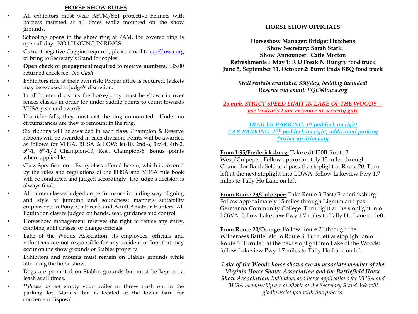#### **HORSE SHOW RULES**

- All exhibitors must wear ASTM/SEI protective helmets with harness fastened at all times while mounted on the show grounds.
- Schooling opens in the show ring at 7AM, the covered ring is open all day. NO LUNGING IN RINGS.
- Current negative Coggins required; please email to eqc[@lowa.org](mailto:bhutchens@lowa.org) or bring to Secretary's Stand for copies
- **Open check or prepayment required to receive numbers.** \$35.00 returned check fee. *No Cash*
- Exhibitors ride at their own risk; Proper attire is required. Jackets may be excused at judge's discretion.
- In all hunter divisions the horse/pony must be shown in over fences classes in order for under saddle points to count towards VHSA year-end awards.
- If a rider falls, they must exit the ring unmounted. Under no circumstances are they to remount in the ring.
- Six ribbons will be awarded in each class. Champion & Reserve ribbons will be awarded in each division. Points will be awarded as follows for VHSA, BHSA & LOW: lst-10, 2nd-6, 3rd-4, 4th-2, 5th-1, 6th-1/2 Champion-10, Res.. Champion-6. Bonus points where applicable.
- Class Specification Every class offered herein, which is covered by the rules and regulations of the BHSA and VHSA rule book will be conducted and judged accordingly. The judge's decision is always final.
- All hunter classes judged on performance including way of going and style of jumping and soundness; manners suitability emphasized in Pony, Children's and Adult Amateur Hunters. All Equitation classes judged on hands, seat, guidance and control.
- Horseshow management reserves the right to refuse any entry, combine, split classes, or change officials.
- Lake of the Woods Association, its employees, officials and volunteers are not responsible for any accident or loss that may occur on the show grounds or Stables property.
- Exhibitors and mounts must remain on Stables grounds while attending the horse show.
- Dogs are permitted on Stables grounds but must be kept on a leash at all times.
- \*\**Please do not* empty your trailer or throw trash out in the parking lot. Manure bin is located at the lower barn for convenient disposal.

#### **HORSE SHOW OFFICIALS**

**Horseshow Manager: Bridget Hutchens Show Secretary: Sarah Stark Show Announcer: Catie Morton Refreshments : May 1: R U Freak N Hungry food truck June 5, September 11, October 2: Burnt Ends BBQ food truck**

*Stall rentals available: \$30/day, bedding included! Reserve via email: EQC@lowa.org* 

#### *25 mph. STRICT SPEED LIMIT IN LAKE OF THE WOODS use Visitor's Lane entrance at security gate*

#### *TRAILER PARKING: 1st paddock on right CAR PARKING: 2ND paddock on right; additional parking further up driveway*

#### **From I-95/Fredericksburg:** Take exit 130B-Route 3

West/Culpeper. Follow approximately 15 miles through Chancellor Battlefield and pass the stoplight at Route 20. Turn left at the next stoplight into LOWA; follow Lakeview Pwy 1.7 miles to Tally Ho Lane on left.

**From Route 29/Culpeper:** Take Route 3 East/Fredericksburg. Follow approximately 15 miles through Lignum and past Germanna Community College. Turn right at the stoplight into LOWA, follow Lakeview Pwy 1.7 miles to Tally Ho Lane on left.

**From Route 20/Orange:** Follow Route 20 through the Wilderness Battlefield to Route 3. Turn left at stoplight onto Route 3. Turn left at the next stoplight into Lake of the Woods; follow Lakeview Pwy 1.7 miles to Tally Ho Lane on left.

*Lake of the Woods horse shows are an associate member of the Virginia Horse Shows Association and the Battlefield Horse Show Association. Individual and horse applications for VHSA and BHSA membership are available at the Secretary Stand. We will gladly assist you with this process.*